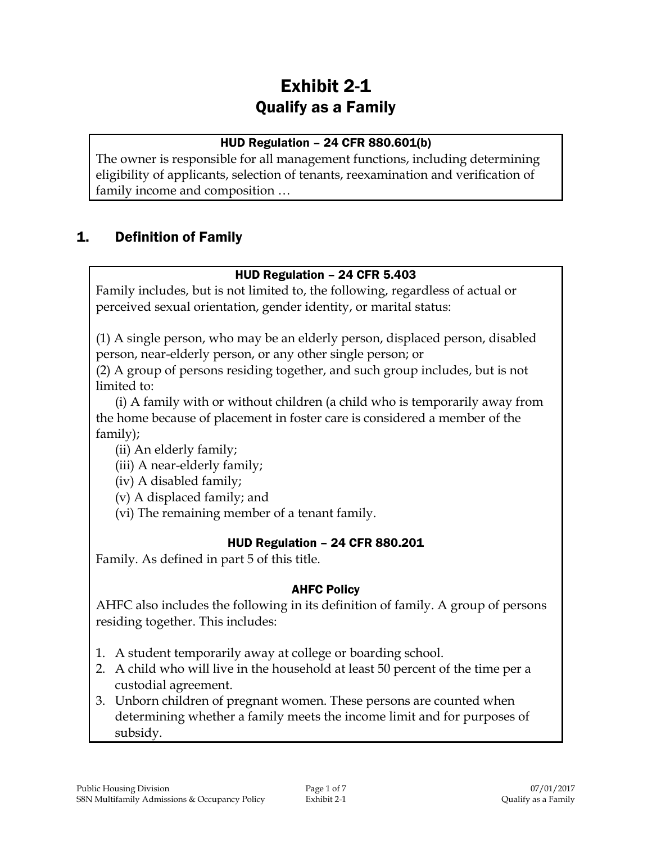# Exhibit 2-1 Qualify as a Family

# HUD Regulation – 24 CFR 880.601(b)

The owner is responsible for all management functions, including determining eligibility of applicants, selection of tenants, reexamination and verification of family income and composition …

# 1. Definition of Family

# HUD Regulation – 24 CFR 5.403

Family includes, but is not limited to, the following, regardless of actual or perceived sexual orientation, gender identity, or marital status:

(1) A single person, who may be an elderly person, displaced person, disabled person, near-elderly person, or any other single person; or

(2) A group of persons residing together, and such group includes, but is not limited to:

(i) A family with or without children (a child who is temporarily away from the home because of placement in foster care is considered a member of the family);

(ii) An elderly family;

(iii) A near-elderly family;

(iv) A disabled family;

(v) A displaced family; and

(vi) The remaining member of a tenant family.

# HUD Regulation – 24 CFR 880.201

Family. As defined in part 5 of this title.

# AHFC Policy

AHFC also includes the following in its definition of family. A group of persons residing together. This includes:

- 1. A student temporarily away at college or boarding school.
- 2. A child who will live in the household at least 50 percent of the time per a custodial agreement.
- 3. Unborn children of pregnant women. These persons are counted when determining whether a family meets the income limit and for purposes of subsidy.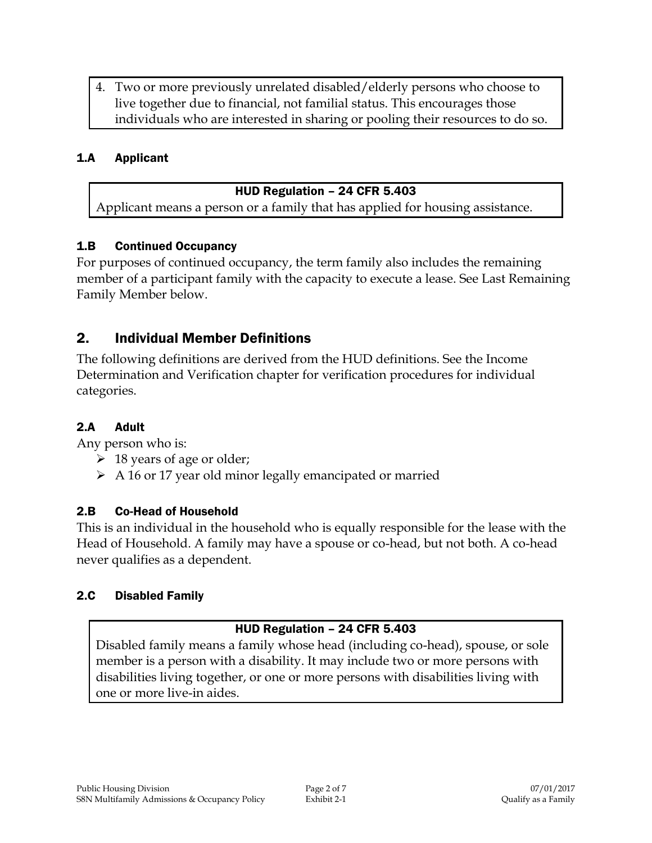4. Two or more previously unrelated disabled/elderly persons who choose to live together due to financial, not familial status. This encourages those individuals who are interested in sharing or pooling their resources to do so.

# 1.A Applicant

#### HUD Regulation – 24 CFR 5.403

Applicant means a person or a family that has applied for housing assistance.

### 1.B Continued Occupancy

For purposes of continued occupancy, the term family also includes the remaining member of a participant family with the capacity to execute a lease. See Last Remaining Family Member below.

# 2. Individual Member Definitions

The following definitions are derived from the HUD definitions. See the Income Determination and Verification chapter for verification procedures for individual categories.

# 2.A Adult

Any person who is:

- $\geq 18$  years of age or older;
- A 16 or 17 year old minor legally emancipated or married

# 2.B Co-Head of Household

This is an individual in the household who is equally responsible for the lease with the Head of Household. A family may have a spouse or co-head, but not both. A co-head never qualifies as a dependent.

# 2.C Disabled Family

# HUD Regulation – 24 CFR 5.403

Disabled family means a family whose head (including co-head), spouse, or sole member is a person with a disability. It may include two or more persons with disabilities living together, or one or more persons with disabilities living with one or more live-in aides.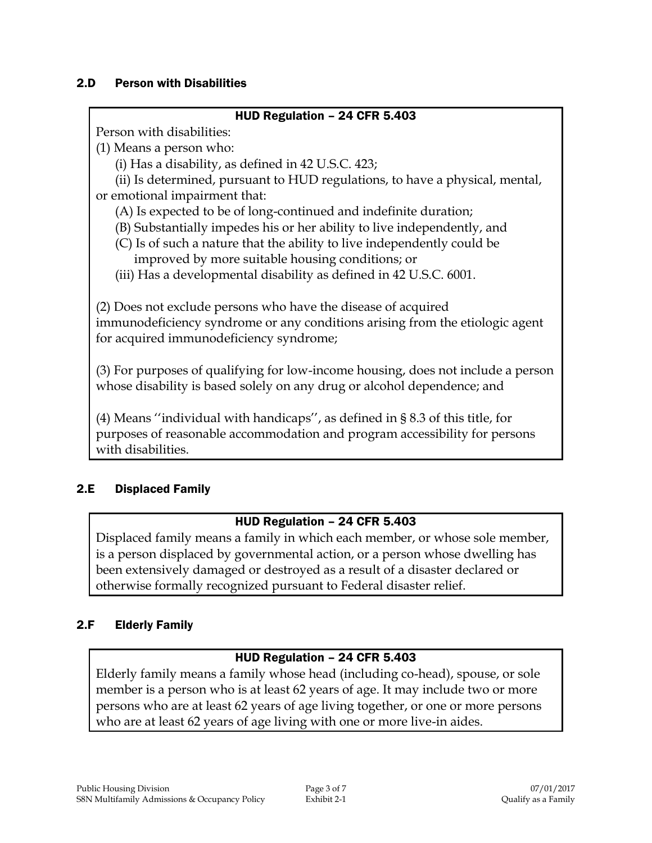### 2.D Person with Disabilities

#### HUD Regulation – 24 CFR 5.403

Person with disabilities:

(1) Means a person who:

(i) Has a disability, as defined in 42 U.S.C. 423;

(ii) Is determined, pursuant to HUD regulations, to have a physical, mental, or emotional impairment that:

(A) Is expected to be of long-continued and indefinite duration;

(B) Substantially impedes his or her ability to live independently, and

- (C) Is of such a nature that the ability to live independently could be improved by more suitable housing conditions; or
- (iii) Has a developmental disability as defined in 42 U.S.C. 6001.

(2) Does not exclude persons who have the disease of acquired immunodeficiency syndrome or any conditions arising from the etiologic agent for acquired immunodeficiency syndrome;

(3) For purposes of qualifying for low-income housing, does not include a person whose disability is based solely on any drug or alcohol dependence; and

(4) Means ''individual with handicaps'', as defined in § 8.3 of this title, for purposes of reasonable accommodation and program accessibility for persons with disabilities.

# 2.E Displaced Family

# HUD Regulation – 24 CFR 5.403

Displaced family means a family in which each member, or whose sole member, is a person displaced by governmental action, or a person whose dwelling has been extensively damaged or destroyed as a result of a disaster declared or otherwise formally recognized pursuant to Federal disaster relief.

# 2.F Elderly Family

# HUD Regulation – 24 CFR 5.403

Elderly family means a family whose head (including co-head), spouse, or sole member is a person who is at least 62 years of age. It may include two or more persons who are at least 62 years of age living together, or one or more persons who are at least 62 years of age living with one or more live-in aides.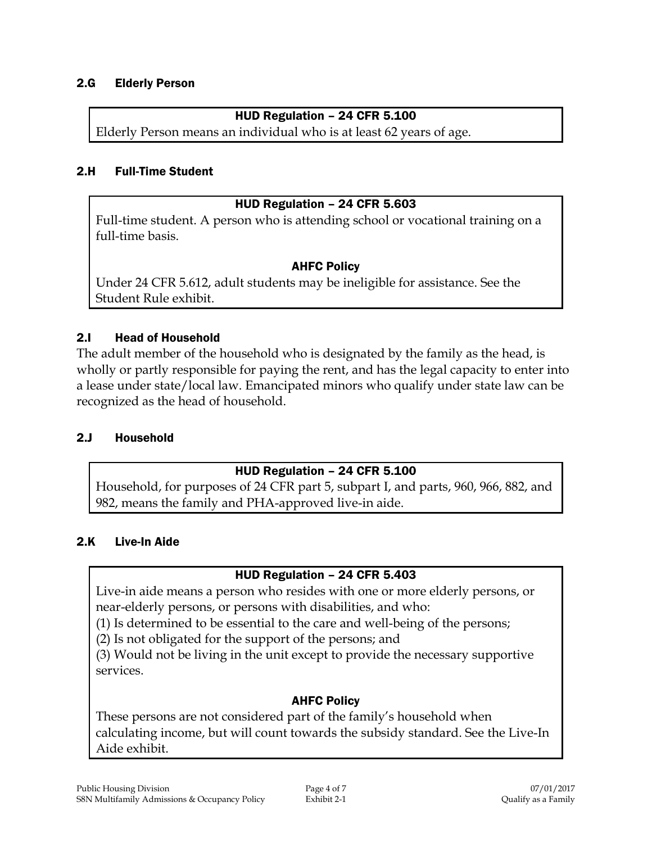#### 2.G Elderly Person

### HUD Regulation – 24 CFR 5.100

Elderly Person means an individual who is at least 62 years of age.

#### 2.H Full-Time Student

#### HUD Regulation – 24 CFR 5.603

Full-time student. A person who is attending school or vocational training on a full-time basis.

### AHFC Policy

Under 24 CFR 5.612, adult students may be ineligible for assistance. See the Student Rule exhibit.

#### 2.I Head of Household

The adult member of the household who is designated by the family as the head, is wholly or partly responsible for paying the rent, and has the legal capacity to enter into a lease under state/local law. Emancipated minors who qualify under state law can be recognized as the head of household.

#### 2.J Household

#### HUD Regulation – 24 CFR 5.100

Household, for purposes of 24 CFR part 5, subpart I, and parts, 960, 966, 882, and 982, means the family and PHA-approved live-in aide.

#### 2.K Live-In Aide

# HUD Regulation – 24 CFR 5.403

Live-in aide means a person who resides with one or more elderly persons, or near-elderly persons, or persons with disabilities, and who:

(1) Is determined to be essential to the care and well-being of the persons;

(2) Is not obligated for the support of the persons; and

(3) Would not be living in the unit except to provide the necessary supportive services.

# AHFC Policy

These persons are not considered part of the family's household when calculating income, but will count towards the subsidy standard. See the Live-In Aide exhibit.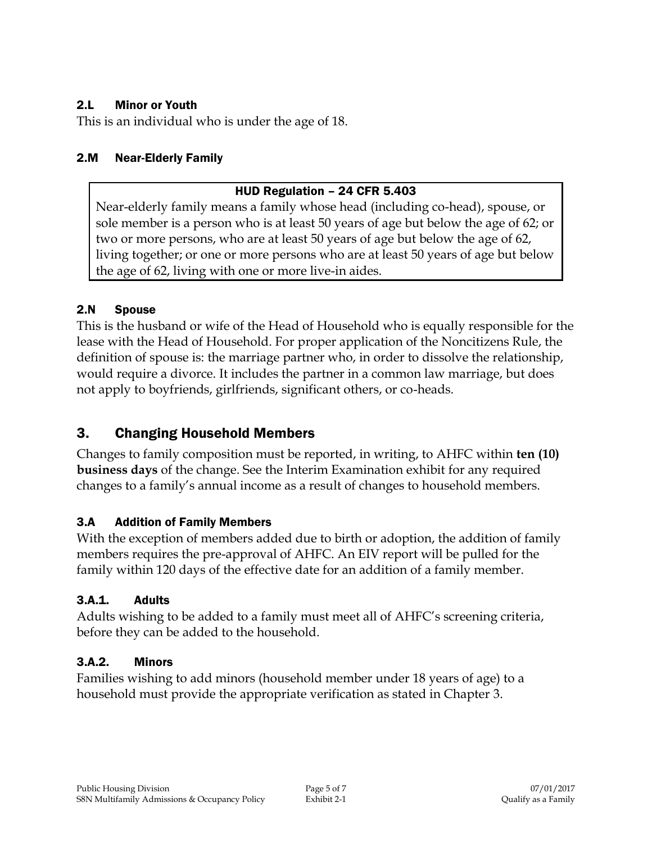# 2.L Minor or Youth

This is an individual who is under the age of 18.

# 2.M Near-Elderly Family

# HUD Regulation – 24 CFR 5.403

Near-elderly family means a family whose head (including co-head), spouse, or sole member is a person who is at least 50 years of age but below the age of 62; or two or more persons, who are at least 50 years of age but below the age of 62, living together; or one or more persons who are at least 50 years of age but below the age of 62, living with one or more live-in aides.

# 2.N Spouse

This is the husband or wife of the Head of Household who is equally responsible for the lease with the Head of Household. For proper application of the Noncitizens Rule, the definition of spouse is: the marriage partner who, in order to dissolve the relationship, would require a divorce. It includes the partner in a common law marriage, but does not apply to boyfriends, girlfriends, significant others, or co-heads.

# 3. Changing Household Members

Changes to family composition must be reported, in writing, to AHFC within **ten (10) business days** of the change. See the Interim Examination exhibit for any required changes to a family's annual income as a result of changes to household members.

# 3.A Addition of Family Members

With the exception of members added due to birth or adoption, the addition of family members requires the pre-approval of AHFC. An EIV report will be pulled for the family within 120 days of the effective date for an addition of a family member.

# 3.A.1. Adults

Adults wishing to be added to a family must meet all of AHFC's screening criteria, before they can be added to the household.

# 3.A.2. Minors

Families wishing to add minors (household member under 18 years of age) to a household must provide the appropriate verification as stated in Chapter 3.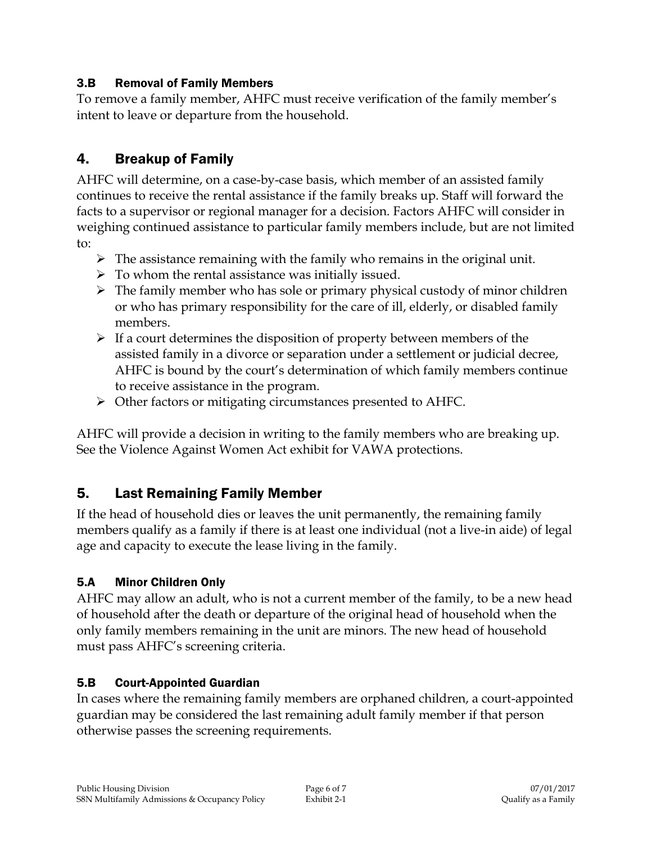# 3.B Removal of Family Members

To remove a family member, AHFC must receive verification of the family member's intent to leave or departure from the household.

# 4. Breakup of Family

AHFC will determine, on a case-by-case basis, which member of an assisted family continues to receive the rental assistance if the family breaks up. Staff will forward the facts to a supervisor or regional manager for a decision. Factors AHFC will consider in weighing continued assistance to particular family members include, but are not limited to:

- $\triangleright$  The assistance remaining with the family who remains in the original unit.
- $\triangleright$  To whom the rental assistance was initially issued.
- $\triangleright$  The family member who has sole or primary physical custody of minor children or who has primary responsibility for the care of ill, elderly, or disabled family members.
- $\triangleright$  If a court determines the disposition of property between members of the assisted family in a divorce or separation under a settlement or judicial decree, AHFC is bound by the court's determination of which family members continue to receive assistance in the program.
- Other factors or mitigating circumstances presented to AHFC.

AHFC will provide a decision in writing to the family members who are breaking up. See the Violence Against Women Act exhibit for VAWA protections.

# 5. Last Remaining Family Member

If the head of household dies or leaves the unit permanently, the remaining family members qualify as a family if there is at least one individual (not a live-in aide) of legal age and capacity to execute the lease living in the family.

# 5.A Minor Children Only

AHFC may allow an adult, who is not a current member of the family, to be a new head of household after the death or departure of the original head of household when the only family members remaining in the unit are minors. The new head of household must pass AHFC's screening criteria.

# 5.B Court-Appointed Guardian

In cases where the remaining family members are orphaned children, a court-appointed guardian may be considered the last remaining adult family member if that person otherwise passes the screening requirements.